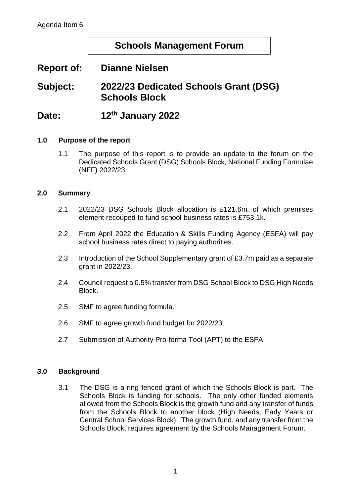# **Schools Management Forum**

# **Report of: Dianne Nielsen**

**Subject: 2022/23 Dedicated Schools Grant (DSG) Schools Block**

Date: **th January 2022**

### **1.0 Purpose of the report**

1.1 The purpose of this report is to provide an update to the forum on the Dedicated Schools Grant (DSG) Schools Block, National Funding Formulae (NFF) 2022/23.

### **2.0 Summary**

- 2.1 2022/23 DSG Schools Block allocation is £121.6m, of which premises element recouped to fund school business rates is £753.1k.
- 2.2 From April 2022 the Education & Skills Funding Agency (ESFA) will pay school business rates direct to paying authorities.
- 2.3 Introduction of the School Supplementary grant of £3.7m paid as a separate grant in 2022/23.
- 2.4 Council request a 0.5% transfer from DSG School Block to DSG High Needs Block.
- 2.5 SMF to agree funding formula.
- 2.6 SMF to agree growth fund budget for 2022/23.
- 2.7 Submission of Authority Pro-forma Tool (APT) to the ESFA.

#### **3.0 Background**

3.1 The DSG is a ring fenced grant of which the Schools Block is part. The Schools Block is funding for schools. The only other funded elements allowed from the Schools Block is the growth fund and any transfer of funds from the Schools Block to another block (High Needs, Early Years or Central School Services Block). The growth fund, and any transfer from the Schools Block, requires agreement by the Schools Management Forum.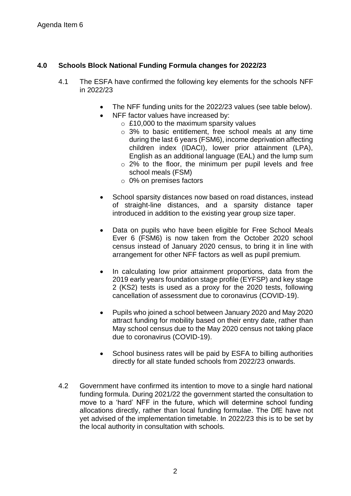## **4.0 Schools Block National Funding Formula changes for 2022/23**

- 4.1 The ESFA have confirmed the following key elements for the schools NFF in 2022/23
	- The NFF funding units for the 2022/23 values (see table below).
	- NFF factor values have increased by:
		- $\circ$  £10,000 to the maximum sparsity values
		- o 3% to basic entitlement, free school meals at any time during the last 6 years (FSM6), income deprivation affecting children index (IDACI), lower prior attainment (LPA), English as an additional language (EAL) and the lump sum
		- o 2% to the floor, the minimum per pupil levels and free school meals (FSM)
		- o 0% on premises factors
	- School sparsity distances now based on road distances, instead of straight-line distances, and a sparsity distance taper introduced in addition to the existing year group size taper.
	- Data on pupils who have been eligible for Free School Meals Ever 6 (FSM6) is now taken from the October 2020 school census instead of January 2020 census, to bring it in line with arrangement for other NFF factors as well as pupil premium.
	- In calculating low prior attainment proportions, data from the 2019 early years foundation stage profile (EYFSP) and key stage 2 (KS2) tests is used as a proxy for the 2020 tests, following cancellation of assessment due to coronavirus (COVID-19).
	- Pupils who joined a school between January 2020 and May 2020 attract funding for mobility based on their entry date, rather than May school census due to the May 2020 census not taking place due to coronavirus (COVID-19).
	- School business rates will be paid by ESFA to billing authorities directly for all state funded schools from 2022/23 onwards.
- 4.2 Government have confirmed its intention to move to a single hard national funding formula. During 2021/22 the government started the consultation to move to a 'hard' NFF in the future, which will determine school funding allocations directly, rather than local funding formulae. The DfE have not yet advised of the implementation timetable. In 2022/23 this is to be set by the local authority in consultation with schools.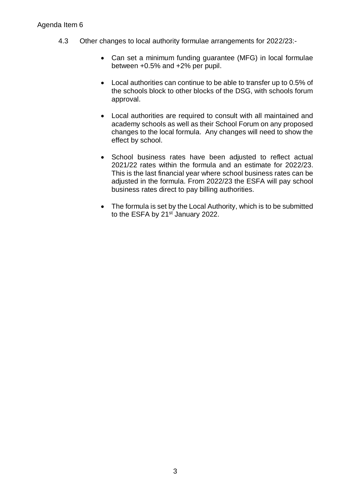### Agenda Item 6

- 4.3 Other changes to local authority formulae arrangements for 2022/23:-
	- Can set a minimum funding guarantee (MFG) in local formulae between +0.5% and +2% per pupil.
	- Local authorities can continue to be able to transfer up to 0.5% of the schools block to other blocks of the DSG, with schools forum approval.
	- Local authorities are required to consult with all maintained and academy schools as well as their School Forum on any proposed changes to the local formula. Any changes will need to show the effect by school.
	- School business rates have been adjusted to reflect actual 2021/22 rates within the formula and an estimate for 2022/23. This is the last financial year where school business rates can be adjusted in the formula. From 2022/23 the ESFA will pay school business rates direct to pay billing authorities.
	- The formula is set by the Local Authority, which is to be submitted to the ESFA by 21<sup>st</sup> January 2022.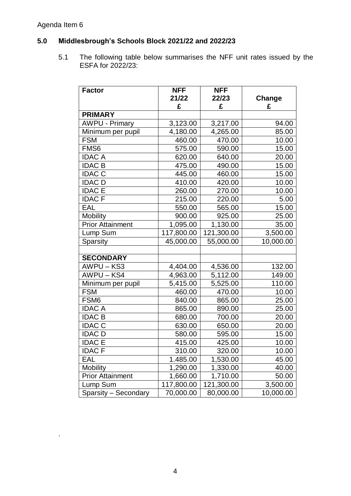# Agenda Item 6

.

## **5.0 Middlesbrough's Schools Block 2021/22 and 2022/23**

5.1 The following table below summarises the NFF unit rates issued by the ESFA for 2022/23:

| <b>Factor</b>           | <b>NFF</b> | <b>NFF</b> |           |
|-------------------------|------------|------------|-----------|
|                         | 21/22      | 22/23      | Change    |
|                         | £          | £          | £         |
| <b>PRIMARY</b>          |            |            |           |
| <b>AWPU - Primary</b>   | 3,123.00   | 3,217.00   | 94.00     |
| Minimum per pupil       | 4,180.00   | 4,265.00   | 85.00     |
| <b>FSM</b>              | 460.00     | 470.00     | 10.00     |
| FMS <sub>6</sub>        | 575.00     | 590.00     | 15.00     |
| <b>IDAC A</b>           | 620.00     | 640.00     | 20.00     |
| <b>IDAC B</b>           | 475.00     | 490.00     | 15.00     |
| <b>IDAC C</b>           | 445.00     | 460.00     | 15.00     |
| <b>IDAC D</b>           | 410.00     | 420.00     | 10.00     |
| <b>IDAC E</b>           | 260.00     | 270.00     | 10.00     |
| <b>IDACF</b>            | 215.00     | 220.00     | 5.00      |
| EAL                     | 550.00     | 565.00     | 15.00     |
| <b>Mobility</b>         | 900.00     | 925.00     | 25.00     |
| <b>Prior Attainment</b> | 1,095.00   | 1,130.00   | 35.00     |
| Lump Sum                | 117,800.00 | 121,300.00 | 3,500.00  |
| Sparsity                | 45,000.00  | 55,000.00  | 10,000.00 |
|                         |            |            |           |
| <b>SECONDARY</b>        |            |            |           |
| AWPU-KS3                | 4,404.00   | 4,536.00   | 132.00    |
| AWPU-KS4                | 4,963.00   | 5,112.00   | 149.00    |
| Minimum per pupil       | 5,415.00   | 5,525.00   | 110.00    |
| <b>FSM</b>              | 460.00     | 470.00     | 10.00     |
| FSM <sub>6</sub>        | 840.00     | 865.00     | 25.00     |
| <b>IDAC A</b>           | 865.00     | 890.00     | 25.00     |
| <b>IDAC B</b>           | 680.00     | 700.00     | 20.00     |
| <b>IDAC C</b>           | 630.00     | 650.00     | 20.00     |
| <b>IDAC D</b>           | 580.00     | 595.00     | 15.00     |
| <b>IDAC E</b>           | 415.00     | 425.00     | 10.00     |
| <b>IDACF</b>            | 310.00     | 320.00     | 10.00     |
| EAL                     | 1.485.00   | 1,530.00   | 45.00     |
| <b>Mobility</b>         | 1,290.00   | 1,330.00   | 40.00     |
| <b>Prior Attainment</b> | 1,660.00   | 1,710.00   | 50.00     |
| Lump Sum                | 117,800.00 | 121,300.00 | 3,500.00  |
| Sparsity - Secondary    | 70,000.00  | 80,000.00  | 10,000.00 |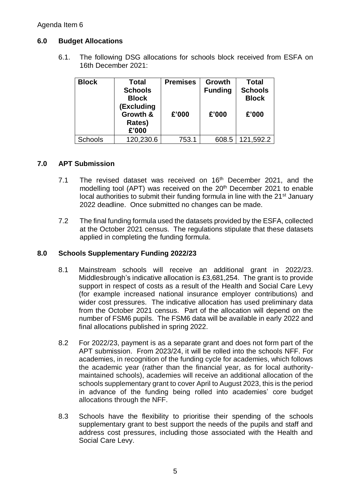### **6.0 Budget Allocations**

6.1. The following DSG allocations for schools block received from ESFA on 16th December 2021:

| <b>Block</b>   | Total<br><b>Schools</b><br><b>Block</b><br>(Excluding<br>Growth &<br>Rates)<br>£'000 | <b>Premises</b><br>£'000 | Growth<br><b>Funding</b><br>£'000 | <b>Total</b><br><b>Schools</b><br><b>Block</b><br>£'000 |
|----------------|--------------------------------------------------------------------------------------|--------------------------|-----------------------------------|---------------------------------------------------------|
| <b>Schools</b> | 120,230.6                                                                            | 753.1                    | 608.5                             | 121,592.2                                               |

### **7.0 APT Submission**

- 7.1 The revised dataset was received on  $16<sup>th</sup>$  December 2021, and the modelling tool (APT) was received on the 20<sup>th</sup> December 2021 to enable local authorities to submit their funding formula in line with the 21<sup>st</sup> January 2022 deadline. Once submitted no changes can be made.
- 7.2 The final funding formula used the datasets provided by the ESFA, collected at the October 2021 census. The regulations stipulate that these datasets applied in completing the funding formula.

### **8.0 Schools Supplementary Funding 2022/23**

- 8.1 Mainstream schools will receive an additional grant in 2022/23. Middlesbrough's indicative allocation is £3,681,254. The grant is to provide support in respect of costs as a result of the Health and Social Care Levy (for example increased national insurance employer contributions) and wider cost pressures. The indicative allocation has used preliminary data from the October 2021 census. Part of the allocation will depend on the number of FSM6 pupils. The FSM6 data will be available in early 2022 and final allocations published in spring 2022.
- 8.2 For 2022/23, payment is as a separate grant and does not form part of the APT submission. From 2023/24, it will be rolled into the schools NFF. For academies, in recognition of the funding cycle for academies, which follows the academic year (rather than the financial year, as for local authoritymaintained schools), academies will receive an additional allocation of the schools supplementary grant to cover April to August 2023, this is the period in advance of the funding being rolled into academies' core budget allocations through the NFF.
- 8.3 Schools have the flexibility to prioritise their spending of the schools supplementary grant to best support the needs of the pupils and staff and address cost pressures, including those associated with the Health and Social Care Levy.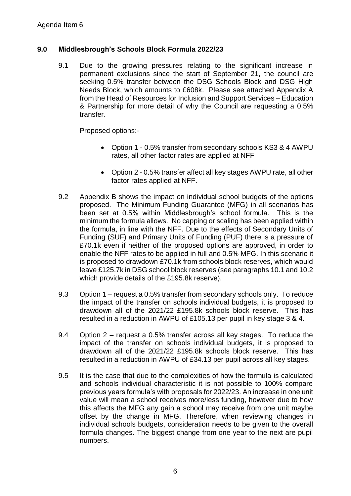### **9.0 Middlesbrough's Schools Block Formula 2022/23**

9.1 Due to the growing pressures relating to the significant increase in permanent exclusions since the start of September 21, the council are seeking 0.5% transfer between the DSG Schools Block and DSG High Needs Block, which amounts to £608k. Please see attached Appendix A from the Head of Resources for Inclusion and Support Services – Education & Partnership for more detail of why the Council are requesting a 0.5% transfer.

Proposed options:-

- Option 1 0.5% transfer from secondary schools KS3 & 4 AWPU rates, all other factor rates are applied at NFF
- Option 2 0.5% transfer affect all key stages AWPU rate, all other factor rates applied at NFF.
- 9.2 Appendix B shows the impact on individual school budgets of the options proposed.The Minimum Funding Guarantee (MFG) in all scenarios has been set at 0.5% within Middlesbrough's school formula. This is the minimum the formula allows. No capping or scaling has been applied within the formula, in line with the NFF. Due to the effects of Secondary Units of Funding (SUF) and Primary Units of Funding (PUF) there is a pressure of £70.1k even if neither of the proposed options are approved, in order to enable the NFF rates to be applied in full and 0.5% MFG. In this scenario it is proposed to drawdown £70.1k from schools block reserves, which would leave £125.7k in DSG school block reserves (see paragraphs 10.1 and 10.2 which provide details of the £195.8k reserve).
- 9.3 Option 1 request a 0.5% transfer from secondary schools only. To reduce the impact of the transfer on schools individual budgets, it is proposed to drawdown all of the 2021/22 £195.8k schools block reserve. This has resulted in a reduction in AWPU of £105.13 per pupil in key stage 3 & 4.
- 9.4 Option 2 request a 0.5% transfer across all key stages. To reduce the impact of the transfer on schools individual budgets, it is proposed to drawdown all of the 2021/22 £195.8k schools block reserve. This has resulted in a reduction in AWPU of £34.13 per pupil across all key stages.
- 9.5 It is the case that due to the complexities of how the formula is calculated and schools individual characteristic it is not possible to 100% compare previous years formula's with proposals for 2022/23. An increase in one unit value will mean a school receives more/less funding, however due to how this affects the MFG any gain a school may receive from one unit maybe offset by the change in MFG. Therefore, when reviewing changes in individual schools budgets, consideration needs to be given to the overall formula changes. The biggest change from one year to the next are pupil numbers.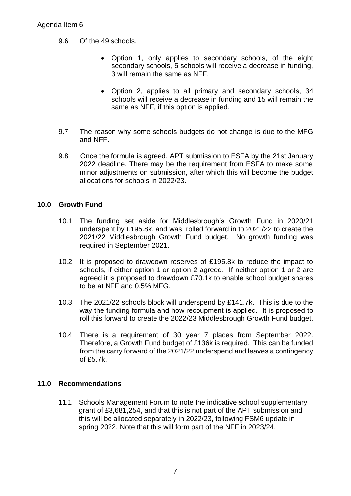- 9.6 Of the 49 schools,
	- Option 1, only applies to secondary schools, of the eight secondary schools, 5 schools will receive a decrease in funding, 3 will remain the same as NFF.
	- Option 2, applies to all primary and secondary schools, 34 schools will receive a decrease in funding and 15 will remain the same as NFF, if this option is applied.
- 9.7 The reason why some schools budgets do not change is due to the MFG and NFF.
- 9.8 Once the formula is agreed, APT submission to ESFA by the 21st January 2022 deadline. There may be the requirement from ESFA to make some minor adjustments on submission, after which this will become the budget allocations for schools in 2022/23.

### **10.0 Growth Fund**

- 10.1 The funding set aside for Middlesbrough's Growth Fund in 2020/21 underspent by £195.8k, and was rolled forward in to 2021/22 to create the 2021/22 Middlesbrough Growth Fund budget. No growth funding was required in September 2021.
- 10.2 It is proposed to drawdown reserves of £195.8k to reduce the impact to schools, if either option 1 or option 2 agreed. If neither option 1 or 2 are agreed it is proposed to drawdown £70.1k to enable school budget shares to be at NFF and 0.5% MFG.
- 10.3 The 2021/22 schools block will underspend by £141.7k. This is due to the way the funding formula and how recoupment is applied. It is proposed to roll this forward to create the 2022/23 Middlesbrough Growth Fund budget.
- 10.4 There is a requirement of 30 year 7 places from September 2022. Therefore, a Growth Fund budget of £136k is required. This can be funded from the carry forward of the 2021/22 underspend and leaves a contingency of £5.7k.

### **11.0 Recommendations**

11.1 Schools Management Forum to note the indicative school supplementary grant of £3,681,254, and that this is not part of the APT submission and this will be allocated separately in 2022/23, following FSM6 update in spring 2022. Note that this will form part of the NFF in 2023/24.